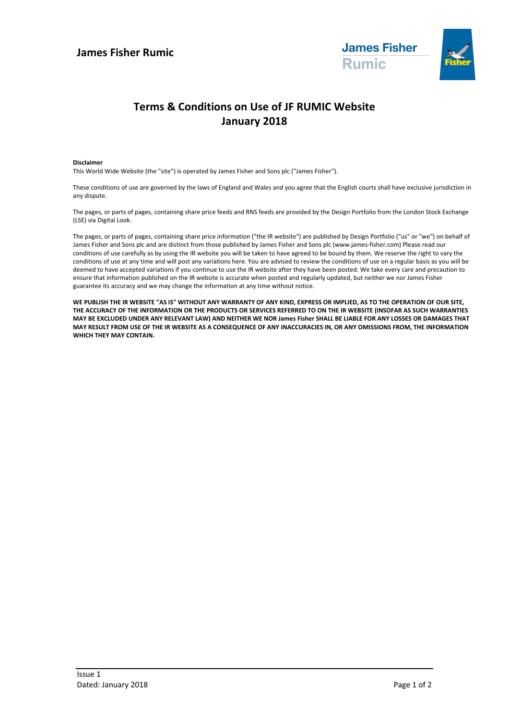

# **Terms & Conditions on Use of JF RUMIC Website January 2018**

### **Disclaimer**

This World Wide Website (the "site") is operated by James Fisher and Sons plc ("James Fisher").

These conditions of use are governed by the laws of England and Wales and you agree that the English courts shall have exclusive jurisdiction in any dispute.

The pages, or parts of pages, containing share price feeds and RNS feeds are provided by the Design Portfolio from the London Stock Exchange (LSE) via Digital Look.

The pages, or parts of pages, containing share price information ("the IR website") are published by Design Portfolio ("us" or "we") on behalf of James Fisher and Sons plc and are distinct from those published by James Fisher and Sons plc (www.james-fisher.com) Please read our conditions of use carefully as by using the IR website you will be taken to have agreed to be bound by them. We reserve the right to vary the conditions of use at any time and will post any variations here. You are advised to review the conditions of use on a regular basis as you will be deemed to have accepted variations if you continue to use the IR website after they have been posted. We take every care and precaution to ensure that information published on the IR website is accurate when posted and regularly updated, but neither we nor James Fisher guarantee its accuracy and we may change the information at any time without notice.

**WE PUBLISH THE IR WEBSITE "AS IS" WITHOUT ANY WARRANTY OF ANY KIND, EXPRESS OR IMPLIED, AS TO THE OPERATION OF OUR SITE, THE ACCURACY OF THE INFORMATION OR THE PRODUCTS OR SERVICES REFERRED TO ON THE IR WEBSITE (INSOFAR AS SUCH WARRANTIES MAY BE EXCLUDED UNDER ANY RELEVANT LAW) AND NEITHER WE NOR James Fisher SHALL BE LIABLE FOR ANY LOSSES OR DAMAGES THAT MAY RESULT FROM USE OF THE IR WEBSITE AS A CONSEQUENCE OF ANY INACCURACIES IN, OR ANY OMISSIONS FROM, THE INFORMATION WHICH THEY MAY CONTAIN.**